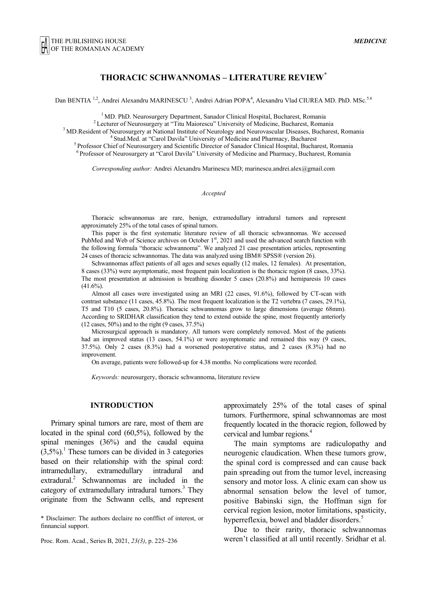## **THORACIC SCHWANNOMAS – LITERATURE REVIEW\***

Dan BENTIA<sup>1,2</sup>, Andrei Alexandru MARINESCU<sup>3</sup>, Andrei Adrian POPA<sup>4</sup>, Alexandru Vlad CIUREA MD. PhD. MSc.<sup>5.6</sup>

<sup>1</sup> MD. PhD. Neurosurgery Department, Sanador Clinical Hospital, Bucharest, Romania<br><sup>2</sup> Lecturer of Neurosurgery at "Titu Maiorescu" University of Medicine, Bucharest, Romania<br><sup>3</sup> MD.Resident of Neurosurgery at National In

*Corresponding author:* Andrei Alexandru Marinescu MD; marinescu.andrei.alex@gmail.com

*Accepted*

Thoracic schwannomas are rare, benign, extramedullary intradural tumors and represent approximately 25% of the total cases of spinal tumors.

This paper is the first systematic literature review of all thoracic schwannomas. We accessed PubMed and Web of Science archives on October  $1<sup>st</sup>$ , 2021 and used the advanced search function with the following formula "thoracic schwannoma". We analyzed 21 case presentation articles, representing 24 cases of thoracic schwannomas. The data was analyzed using IBM® SPSS® (version 26).

Schwannomas affect patients of all ages and sexes equally (12 males, 12 females). At presentation, 8 cases (33%) were asymptomatic, most frequent pain localization is the thoracic region (8 cases, 33%). The most presentation at admission is breathing disorder 5 cases (20.8%) and hemiparesis 10 cases  $(41.6\%)$ .

Almost all cases were investigated using an MRI (22 cases, 91.6%), followed by CT-scan with contrast substance (11 cases, 45.8%). The most frequent localization is the T2 vertebra (7 cases, 29.1%), T5 and T10 (5 cases, 20.8%). Thoracic schwannomas grow to large dimensions (average 68mm). According to SRIDHAR classification they tend to extend outside the spine, most frequently anteriorly (12 cases, 50%) and to the right (9 cases, 37.5%)

Microsurgical approach is mandatory. All tumors were completely removed. Most of the patients had an improved status (13 cases, 54.1%) or were asymptomatic and remained this way (9 cases, 37.5%). Only 2 cases (8.3%) had a worsened postoperative status, and 2 cases (8.3%) had no improvement.

On average, patients were followed-up for 4.38 months. No complications were recorded.

*Keywords:* neurosurgery, thoracic schwannoma, literature review

## **INTRODUCTION**

Primary spinal tumors are rare, most of them are located in the spinal cord (60,5%), followed by the spinal meninges (36%) and the caudal equina  $(3,5\%)$ <sup>1</sup>. These tumors can be divided in 3 categories based on their relationship with the spinal cord: intramedullary, extramedullary intradural and extradural.<sup>2</sup> Schwannomas are included in the category of extramedullary intradural tumors.<sup>3</sup> They originate from the Schwann cells, and represent

\* Disclaimer: The authors declaire no confflict of interest, or finnancial support.

Proc. Rom. Acad., Series B, 2021, *23(3)*, p. 225–236

approximately 25% of the total cases of spinal tumors. Furthermore, spinal schwannomas are most frequently located in the thoracic region, followed by cervical and lumbar regions.<sup>4</sup>

The main symptoms are radiculopathy and neurogenic claudication. When these tumors grow, the spinal cord is compressed and can cause back pain spreading out from the tumor level, increasing sensory and motor loss. A clinic exam can show us abnormal sensation below the level of tumor, positive Babinski sign, the Hoffman sign for cervical region lesion, motor limitations, spasticity, hyperreflexia, bowel and bladder disorders.<sup>5</sup>

Due to their rarity, thoracic schwannomas weren't classified at all until recently. Sridhar et al.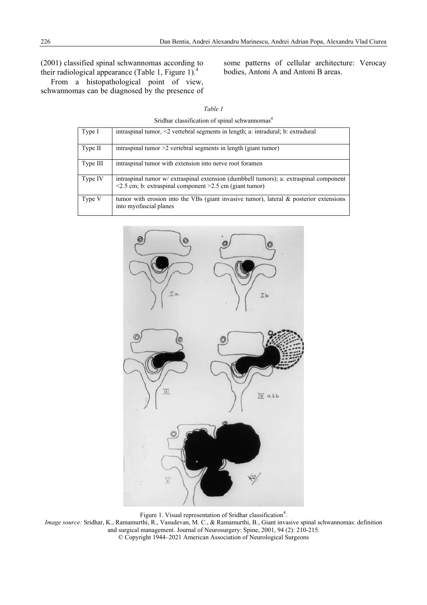# (2001) classified spinal schwannomas according to their radiological appearance (Table 1, Figure 1).<sup>4</sup>

From a histopathological point of view, schwannomas can be diagnosed by the presence of some patterns of cellular architecture: Verocay bodies, Antoni A and Antoni B areas.

Sridhar classification of spinal schwannomas<sup>4</sup>

| Type I   | intraspinal tumor, $\leq$ vertebral segments in length; a: intradural; b: extradural                                                                          |
|----------|---------------------------------------------------------------------------------------------------------------------------------------------------------------|
| Type II  | intraspinal tumor $>2$ vertebral segments in length (giant tumor)                                                                                             |
| Type III | intraspinal tumor with extension into nerve root foramen                                                                                                      |
| Type IV  | intraspinal tumor w/ extraspinal extension (dumbbell tumors); a: extraspinal component<br>$\leq$ 2.5 cm; b: extraspinal component $\geq$ 2.5 cm (giant tumor) |
| Type V   | tumor with erosion into the VBs (giant invasive tumor), lateral $\&$ posterior extensions<br>into myofascial planes                                           |



Figure 1. Visual representation of Sridhar classification<sup>4</sup>.

*Image source:* Sridhar, K., Ramamurthi, R., Vasudevan, M. C., & Ramamurthi, B., Giant invasive spinal schwannomas: definition and surgical management. Journal of Neurosurgery: Spine, 2001, 94 (2): 210-215. © Copyright 1944–2021 American Association of Neurological Surgeons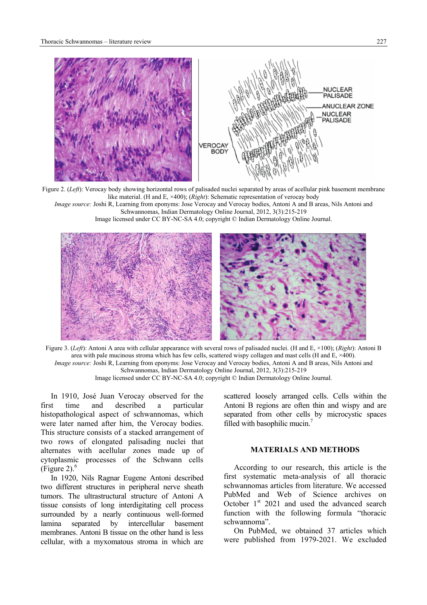

Figure 2. (*Left*): Verocay body showing horizontal rows of palisaded nuclei separated by areas of acellular pink basement membrane like material. (H and E, ×400); (*Right*): Schematic representation of verocay body *Image source:* Joshi R, Learning from eponyms: Jose Verocay and Verocay bodies, Antoni A and B areas, Nils Antoni and

Schwannomas, Indian Dermatology Online Journal, 2012, 3(3):215-219 Image licensed under CC BY-NC-SA 4.0; copyright © Indian Dermatology Online Journal.



Figure 3. (*Left*): Antoni A area with cellular appearance with several rows of palisaded nuclei. (H and E, ×100); (*Right*): Antoni B area with pale mucinous stroma which has few cells, scattered wispy collagen and mast cells (H and E, ×400). *Image source:* Joshi R, Learning from eponyms: Jose Verocay and Verocay bodies, Antoni A and B areas, Nils Antoni and Schwannomas, Indian Dermatology Online Journal, 2012, 3(3):215-219 Image licensed under CC BY-NC-SA 4.0; copyright © Indian Dermatology Online Journal.

In 1910, José Juan Verocay observed for the first time and described a particular histopathological aspect of schwannomas, which were later named after him, the Verocay bodies. This structure consists of a stacked arrangement of two rows of elongated palisading nuclei that alternates with acellular zones made up of cytoplasmic processes of the Schwann cells (Figure 2). $<sup>6</sup>$ </sup>

In 1920, Nils Ragnar Eugene Antoni described two different structures in peripheral nerve sheath tumors. The ultrastructural structure of Antoni A tissue consists of long interdigitating cell process surrounded by a nearly continuous well-formed lamina separated by intercellular basement membranes. Antoni B tissue on the other hand is less cellular, with a myxomatous stroma in which are

scattered loosely arranged cells. Cells within the Antoni B regions are often thin and wispy and are separated from other cells by microcystic spaces filled with basophilic mucin.<sup>7</sup>

## **MATERIALS AND METHODS**

According to our research, this article is the first systematic meta-analysis of all thoracic schwannomas articles from literature. We accessed PubMed and Web of Science archives on October  $1<sup>st</sup>$  2021 and used the advanced search function with the following formula "thoracic schwannoma".

On PubMed, we obtained 37 articles which were published from 1979-2021. We excluded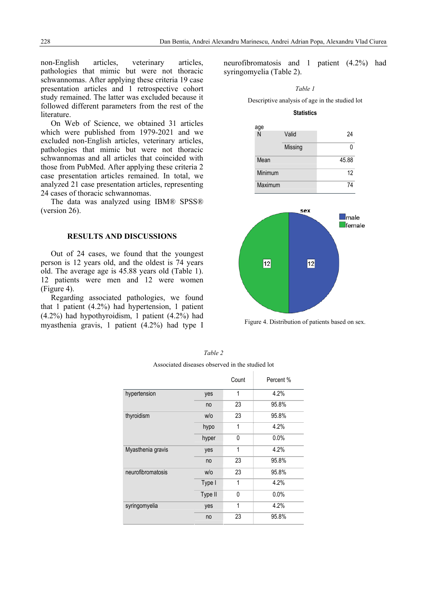non-English articles, veterinary articles, pathologies that mimic but were not thoracic schwannomas. After applying these criteria 19 case presentation articles and 1 retrospective cohort study remained. The latter was excluded because it followed different parameters from the rest of the literature.

On Web of Science, we obtained 31 articles which were published from 1979-2021 and we excluded non-English articles, veterinary articles, pathologies that mimic but were not thoracic schwannomas and all articles that coincided with those from PubMed. After applying these criteria 2 case presentation articles remained. In total, we analyzed 21 case presentation articles, representing 24 cases of thoracic schwannomas.

The data was analyzed using IBM® SPSS® (version 26).

### **RESULTS AND DISCUSSIONS**

Out of 24 cases, we found that the youngest person is 12 years old, and the oldest is 74 years old. The average age is 45.88 years old (Table 1). 12 patients were men and 12 were women (Figure 4).

Regarding associated pathologies, we found that 1 patient (4.2%) had hypertension, 1 patient (4.2%) had hypothyroidism, 1 patient (4.2%) had myasthenia gravis, 1 patient (4.2%) had type I

neurofibromatosis and 1 patient (4.2%) had syringomyelia (Table 2).

*Table 1*  Descriptive analysis of age in the studied lot

#### **Statistics**





Figure 4. Distribution of patients based on sex.

|                   |         | Count        | Percent % |
|-------------------|---------|--------------|-----------|
| hypertension      | yes     | 1            | 4.2%      |
|                   | no      | 23           | 95.8%     |
| thyroidism        | W/O     | 23           | 95.8%     |
|                   | hypo    | 1            | 4.2%      |
|                   | hyper   | 0            | 0.0%      |
| Myasthenia gravis | yes     | 1            | 4.2%      |
|                   | no      | 23           | 95.8%     |
| neurofibromatosis | W/O     | 23           | 95.8%     |
|                   | Type I  | $\mathbf{1}$ | 4.2%      |
|                   | Type II | $\mathbf{0}$ | 0.0%      |
| syringomyelia     | yes     | 1            | 4.2%      |
|                   | no      | 23           | 95.8%     |

*Table 2* 

Associated diseases observed in the studied lot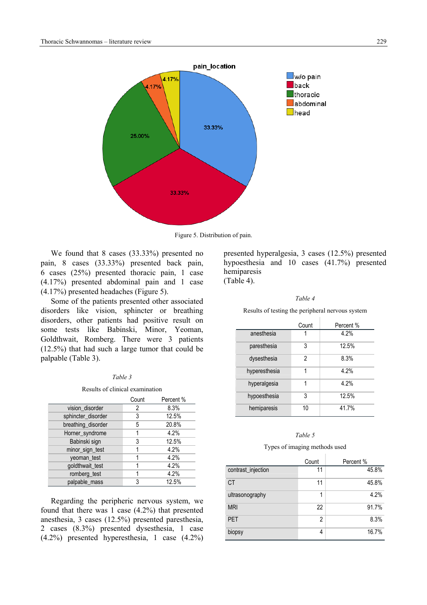

Figure 5. Distribution of pain.

We found that 8 cases (33.33%) presented no pain, 8 cases (33.33%) presented back pain, 6 cases (25%) presented thoracic pain, 1 case (4.17%) presented abdominal pain and 1 case (4.17%) presented headaches (Figure 5).

Some of the patients presented other associated disorders like vision, sphincter or breathing disorders, other patients had positive result on some tests like Babinski, Minor, Yeoman, Goldthwait, Romberg. There were 3 patients (12.5%) that had such a large tumor that could be palpable (Table 3).

### *Table 3*

#### Results of clinical examination

|                    | Count | Percent % |
|--------------------|-------|-----------|
| vision_disorder    | 2     | 8.3%      |
| sphincter_disorder | 3     | 12.5%     |
| breathing_disorder | 5     | 20.8%     |
| Horner_syndrome    |       | 4.2%      |
| Babinski sign      | 3     | 12.5%     |
| minor_sign_test    |       | 4.2%      |
| veoman test        |       | 4.2%      |
| goldthwait_test    |       | 4.2%      |
| romberg_test       |       | 4.2%      |
| palpable mass      |       | 12.5%     |

Regarding the peripheric nervous system, we found that there was 1 case (4.2%) that presented anesthesia, 3 cases (12.5%) presented paresthesia, 2 cases (8.3%) presented dysesthesia, 1 case (4.2%) presented hyperesthesia, 1 case (4.2%) presented hyperalgesia, 3 cases (12.5%) presented hypoesthesia and 10 cases (41.7%) presented hemiparesis (Table 4).

#### *Table 4*

Results of testing the peripheral nervous system

|               | Count | Percent % |
|---------------|-------|-----------|
| anesthesia    |       | 4.2%      |
| paresthesia   | 3     | 12.5%     |
| dysesthesia   | 2     | 8.3%      |
| hyperesthesia | 1     | 4.2%      |
| hyperalgesia  | 1     | 4.2%      |
| hypoesthesia  | 3     | 12.5%     |
| hemiparesis   | 10    | 41.7%     |

#### *Table 5*

Types of imaging methods used

|                    | Count | Percent % |
|--------------------|-------|-----------|
| contrast_injection | 11    | 45.8%     |
| <b>CT</b>          | 11    | 45.8%     |
| ultrasonography    | 1     | 4.2%      |
| <b>MRI</b>         | 22    | 91.7%     |
| <b>PET</b>         | 2     | 8.3%      |
| biopsy             | 4     | 16.7%     |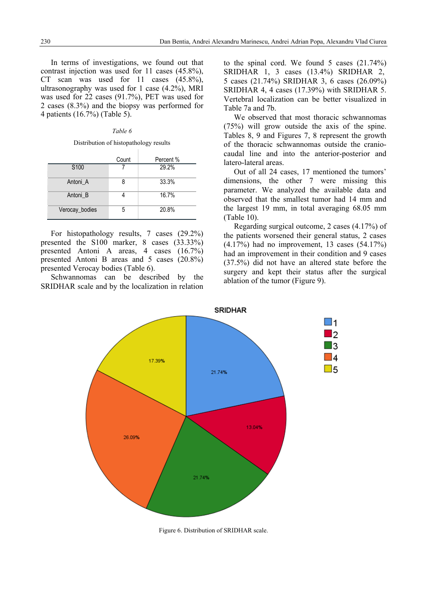In terms of investigations, we found out that contrast injection was used for 11 cases (45.8%), CT scan was used for 11 cases (45.8%), ultrasonography was used for 1 case (4.2%), MRI was used for 22 cases (91.7%), PET was used for 2 cases (8.3%) and the biopsy was performed for 4 patients (16.7%) (Table 5).

## *Table 6*

### Distribution of histopathology results

|                  | Count | Percent % |
|------------------|-------|-----------|
| S <sub>100</sub> |       | 29.2%     |
| Antoni A         | 8     | 33.3%     |
| Antoni B         |       | 16.7%     |
| Verocay_bodies   | 5     | 20.8%     |

For histopathology results, 7 cases (29.2%) presented the S100 marker, 8 cases (33.33%) presented Antoni A areas, 4 cases (16.7%) presented Antoni B areas and 5 cases (20.8%) presented Verocay bodies (Table 6).

Schwannomas can be described by the SRIDHAR scale and by the localization in relation

to the spinal cord. We found 5 cases (21.74%) SRIDHAR 1, 3 cases (13.4%) SRIDHAR 2, 5 cases (21.74%) SRIDHAR 3, 6 cases (26.09%) SRIDHAR 4, 4 cases (17.39%) with SRIDHAR 5. Vertebral localization can be better visualized in Table 7a and 7b.

We observed that most thoracic schwannomas (75%) will grow outside the axis of the spine. Tables 8, 9 and Figures 7, 8 represent the growth of the thoracic schwannomas outside the craniocaudal line and into the anterior-posterior and latero-lateral areas.

Out of all 24 cases, 17 mentioned the tumors' dimensions, the other 7 were missing this parameter. We analyzed the available data and observed that the smallest tumor had 14 mm and the largest 19 mm, in total averaging 68.05 mm (Table 10).

Regarding surgical outcome, 2 cases (4.17%) of the patients worsened their general status, 2 cases (4.17%) had no improvement, 13 cases (54.17%) had an improvement in their condition and 9 cases (37.5%) did not have an altered state before the surgery and kept their status after the surgical ablation of the tumor (Figure 9).



Figure 6. Distribution of SRIDHAR scale.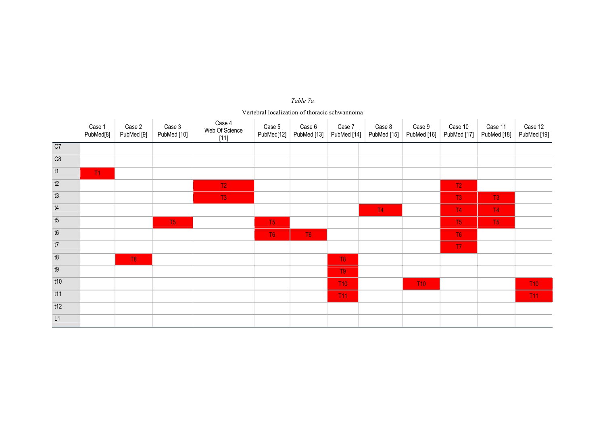#### Case 1 PubMed<sup>[8]</sup> Case 2 PubMed [9] Case 3 PubMed [10] Case 4 Web Of Science [11] Case 5 PubMed[12] PubMed [13] PubMed [14] PubMed [15] PubMed [16] PubMed [17] Case 6 Case 7 Case 8 Case 9 Case 10 Case 11 PubMed [18] PubMed [19] Case 12 C7 C8 t1 T1 t2 T2 T2  $T2$ t3 T3 T3 T3  $T3$ t4 t4 t4 t4 t4 t5 t4 t5 t4 t5 t4 t5 t4 t5 t4 t5 t4 t5 t4 t5 t4 t5 t4 t5 t4 t5 t4 t5 t5 t5 t5 t5 t5 t5 t5 t5 t5  $T<sub>4</sub>$ t5 T5 T5 T5 T5  $T5$ t6 T6 T6 T6  $T6$ t7 T7  $T<sub>7</sub>$ t8 T8 T8  $T8$ t9 to the control of the control of the control of the control of the control of the control of the control of T9 t10 T10 T10 T10 T<sub>10</sub> t11 T11 T11  $T11$ t12 L1

#### *Table 7a*

Vertebral localization of thoracic schwannoma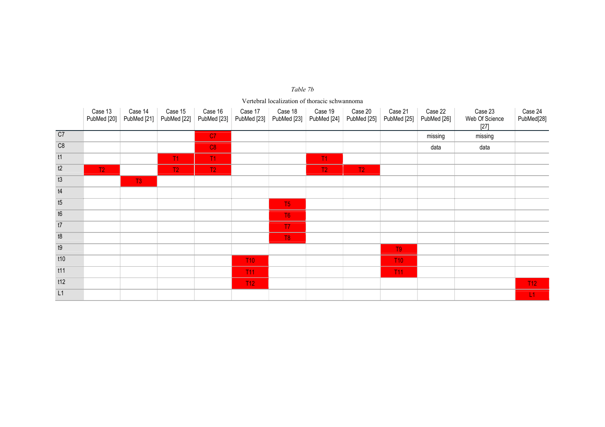|                 | Case 13<br>PubMed [20] | Case 14<br>PubMed [21] | Case 15<br>PubMed [22] | Case 16<br>PubMed [23] | Case 17<br>PubMed [23] | Case 18<br>PubMed [23] | Case 19<br>PubMed [24] | Case 20<br>PubMed [25] | Case 21<br>PubMed [25] | Case 22<br>PubMed [26] | Case 23<br>Web Of Science<br>$[27]$ | Case 24<br>PubMed[28] |
|-----------------|------------------------|------------------------|------------------------|------------------------|------------------------|------------------------|------------------------|------------------------|------------------------|------------------------|-------------------------------------|-----------------------|
| $\overline{C7}$ |                        |                        |                        | C <sub>7</sub>         |                        |                        |                        |                        |                        | missing                | missing                             |                       |
| C8              |                        |                        |                        | C8                     |                        |                        |                        |                        |                        | data                   | data                                |                       |
| t1              |                        |                        | T1                     | T1                     |                        |                        | T1                     |                        |                        |                        |                                     |                       |
| t2              | T2                     |                        | T2                     | T2                     |                        |                        | T2                     | T2                     |                        |                        |                                     |                       |
| t3              |                        | T <sub>3</sub>         |                        |                        |                        |                        |                        |                        |                        |                        |                                     |                       |
| t4              |                        |                        |                        |                        |                        |                        |                        |                        |                        |                        |                                     |                       |
| t5              |                        |                        |                        |                        |                        | T <sub>5</sub>         |                        |                        |                        |                        |                                     |                       |
| t6              |                        |                        |                        |                        |                        | T <sub>6</sub>         |                        |                        |                        |                        |                                     |                       |
| $\overline{t}$  |                        |                        |                        |                        |                        | T7                     |                        |                        |                        |                        |                                     |                       |
| t8              |                        |                        |                        |                        |                        | T <sub>8</sub>         |                        |                        |                        |                        |                                     |                       |
| t9              |                        |                        |                        |                        |                        |                        |                        |                        | T <sub>9</sub>         |                        |                                     |                       |
| t10             |                        |                        |                        |                        | T10                    |                        |                        |                        | T <sub>10</sub>        |                        |                                     |                       |
| t11             |                        |                        |                        |                        | <b>T11</b>             |                        |                        |                        | <b>T11</b>             |                        |                                     |                       |
| t12             |                        |                        |                        |                        | T12                    |                        |                        |                        |                        |                        |                                     | T12                   |
| L1              |                        |                        |                        |                        |                        |                        |                        |                        |                        |                        |                                     | L1                    |

# *Table 7b* Vertebral localization of thoracic schwannoma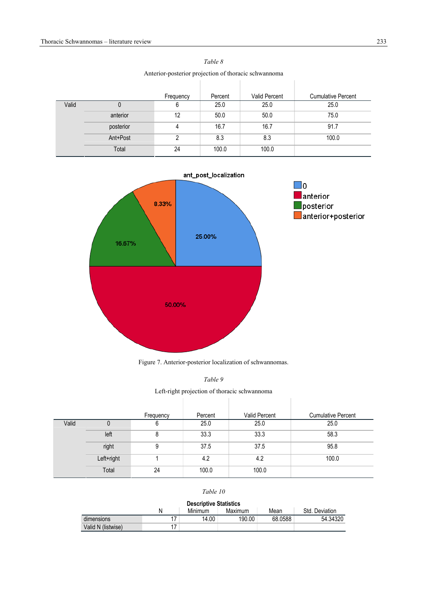|       | <i>Prince posterior</i> projection or morate senwamping |           |         |               |                           |  |  |  |  |
|-------|---------------------------------------------------------|-----------|---------|---------------|---------------------------|--|--|--|--|
|       |                                                         | Frequency | Percent | Valid Percent | <b>Cumulative Percent</b> |  |  |  |  |
| Valid |                                                         | 6         | 25.0    | 25.0          | 25.0                      |  |  |  |  |
|       | anterior                                                | 12        | 50.0    | 50.0          | 75.0                      |  |  |  |  |
|       | posterior                                               | 4         | 16.7    | 16.7          | 91.7                      |  |  |  |  |
|       | Ant+Post                                                | 2         | 8.3     | 8.3           | 100.0                     |  |  |  |  |
|       | Total                                                   | 24        | 100.0   | 100.0         |                           |  |  |  |  |

*Table 8*  Anterior-posterior projection of thoracic schwannoma



Figure 7. Anterior-posterior localization of schwannomas.

Left-right projection of thoracic schwannoma **Contract Contract** 

|       |            | Frequency | Percent | Valid Percent | <b>Cumulative Percent</b> |
|-------|------------|-----------|---------|---------------|---------------------------|
| Valid | U          | b         | 25.0    | 25.0          | 25.0                      |
|       | left       | 8         | 33.3    | 33.3          | 58.3                      |
|       | right      | 9         | 37.5    | 37.5          | 95.8                      |
|       | Left+right |           | 4.2     | 4.2           | 100.0                     |
|       | Total      | 24        | 100.0   | 100.0         |                           |

## *Table 10*

| <b>Descriptive Statistics</b>                     |  |       |        |         |          |  |  |  |
|---------------------------------------------------|--|-------|--------|---------|----------|--|--|--|
| Minimum<br>Maximum<br>Std. Deviation<br>Mean<br>N |  |       |        |         |          |  |  |  |
| dimensions                                        |  | 14.00 | 190.00 | 68.0588 | 54.34320 |  |  |  |
| Valid N (listwise)                                |  |       |        |         |          |  |  |  |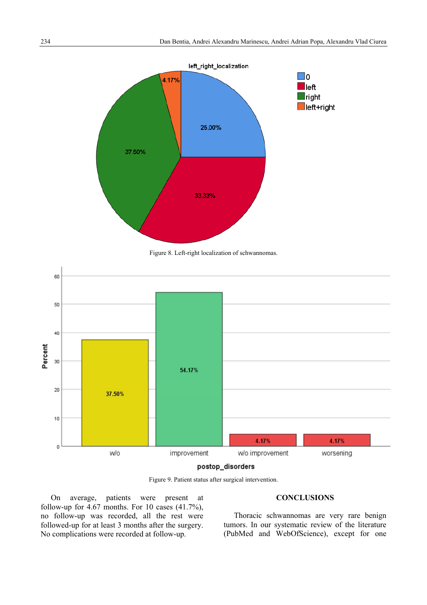

Figure 8. Left-right localization of schwannomas.



Figure 9. Patient status after surgical intervention.

On average, patients were present at follow-up for  $4.67$  months. For 10 cases  $(41.7\%)$ , no follow-up was recorded, all the rest were followed-up for at least 3 months after the surgery. No complications were recorded at follow-up.

## **CONCLUSIONS**

Thoracic schwannomas are very rare benign tumors. In our systematic review of the literature (PubMed and WebOfScience), except for one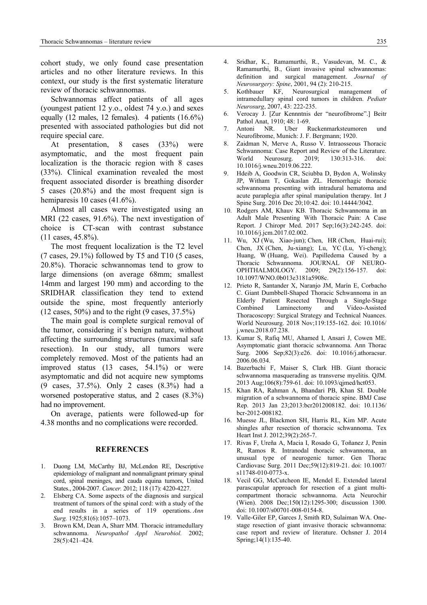cohort study, we only found case presentation articles and no other literature reviews. In this context, our study is the first systematic literature review of thoracic schwannomas.

Schwannomas affect patients of all ages (youngest patient 12 y.o., oldest 74 y.o.) and sexes equally (12 males, 12 females). 4 patients (16.6%) presented with associated pathologies but did not require special care.

At presentation, 8 cases (33%) were asymptomatic, and the most frequent pain localization is the thoracic region with 8 cases (33%). Clinical examination revealed the most frequent associated disorder is breathing disorder 5 cases (20.8%) and the most frequent sign is hemiparesis 10 cases (41.6%).

Almost all cases were investigated using an MRI (22 cases, 91.6%). The next investigation of choice is CT-scan with contrast substance (11 cases, 45.8%).

The most frequent localization is the T2 level  $(7 \text{ cases}, 29.1\%)$  followed by T5 and T10 (5 cases, 20.8%). Thoracic schwannomas tend to grow to large dimensions (on average 68mm; smallest 14mm and largest 190 mm) and according to the SRIDHAR classification they tend to extend outside the spine, most frequently anteriorly  $(12 \text{ cases}, 50\%)$  and to the right  $(9 \text{ cases}, 37.5\%)$ 

The main goal is complete surgical removal of the tumor, considering it`s benign nature, without affecting the surrounding structures (maximal safe resection). In our study, all tumors were completely removed. Most of the patients had an improved status (13 cases, 54.1%) or were asymptomatic and did not acquire new symptoms (9 cases, 37.5%). Only 2 cases (8.3%) had a worsened postoperative status, and 2 cases (8.3%) had no improvement.

On average, patients were followed-up for 4.38 months and no complications were recorded.

#### **REFERENCES**

- 1. Duong LM, McCarthy BJ, McLendon RE, Descriptive epidemiology of malignant and nonmalignant primary spinal cord, spinal meninges, and cauda equina tumors, United States., 2004-2007. *Cancer.* 2012; 118 (17): 4220-4227.
- Elsberg CA. Some aspects of the diagnosis and surgical treatment of tumors of the spinal cord: with a study of the end results in a series of 119 operations. *Ann Surg.* 1925;81(6):1057–1073.
- 3. Brown KM, Dean A, Sharr MM. Thoracic intramedullary schwannoma. *Neuropathol Appl Neurobiol.* 2002; 28(5):421–424.
- 4. Sridhar, K., Ramamurthi, R., Vasudevan, M. C., & Ramamurthi, B., Giant invasive spinal schwannomas: definition and surgical management. *Journal of Neurosurgery: Spine*, 2001, 94 (2): 210-215.
- 5. Kothbauer KF, Neurosurgical management of intramedullary spinal cord tumors in children. *Pediatr Neurosurg*, 2007, 43: 222-235.
- 6. Verocay J. [Zur Kennntnis der "neurofibrome".] Beitr Pathol Anat, 1910; 48: 1-69.
- 7. Antoni NR. Uber Ruckenmarksteumoren und Neurofibrome, Munich: J. F. Bergmann; 1920.
- 8. Zaidman N, Merve A, Russo V. Intraosseous Thoracic Schwannoma: Case Report and Review of the Literature. World Neurosurg. 2019; 130:313-316. doi: 10.1016/j.wneu.2019.06.222.
- 9. Hdeib A, Goodwin CR, Sciubba D, Bydon A, Wolinsky JP, Witham T, Gokaslan ZL. Hemorrhagic thoracic schwannoma presenting with intradural hematoma and acute paraplegia after spinal manipulation therapy. Int J Spine Surg. 2016 Dec 20;10:42. doi: 10.14444/3042.
- 10. Rodgers AM, Khauv KB. Thoracic Schwannoma in an Adult Male Presenting With Thoracic Pain: A Case Report. J Chiropr Med. 2017 Sep;16(3):242-245. doi: 10.1016/j.jcm.2017.02.002.
- 11. Wu, XJ (Wu, Xiao-jun); Chen, HR (Chen, Huai-rui); Chen, JX (Chen, Ju-xiang); Lu, YC (Lu, Yi-cheng); Huang, W (Huang, Wei). Papilledema Caused by a Thoracic Schwannoma. JOURNAL OF NEURO-OPHTHALMOLOGY. 2009; 29(2):156-157. doi: 10.1097/WNO.0b013e3181a5908c.
- 12. Prieto R, Santander X, Naranjo JM, Marín E, Corbacho C. Giant Dumbbell-Shaped Thoracic Schwannoma in an Elderly Patient Resected Through a Single-Stage Combined Laminectomy and Video-Assisted Thoracoscopy: Surgical Strategy and Technical Nuances. World Neurosurg. 2018 Nov;119:155-162. doi: 10.1016/ j.wneu.2018.07.238.
- 13. Kumar S, Rafiq MU, Ahamed I, Ansari J, Cowen ME. Asymptomatic giant thoracic schwannoma. Ann Thorac Surg. 2006 Sep;82(3):e26. doi: 10.1016/j.athoracsur. 2006.06.034.
- 14. Bazerbachi F, Maiser S, Clark HB. Giant thoracic schwannoma masquerading as transverse myelitis. QJM. 2013 Aug;106(8):759-61. doi: 10.1093/qjmed/hct053.
- 15. Khan RA, Rahman A, Bhandari PB, Khan SI. Double migration of a schwannoma of thoracic spine. BMJ Case Rep. 2013 Jan 23;2013:bcr2012008182. doi: 10.1136/ bcr-2012-008182.
- 16. Muesse JL, Blackmon SH, Harris RL, Kim MP. Acute shingles after resection of thoracic schwannoma. Tex Heart Inst J. 2012;39(2):265-7.
- 17. Rivas F, Ureña A, Macia I, Rosado G, Toñanez J, Penin R, Ramos R. Intranodal thoracic schwannoma, an unusual type of neurogenic tumor. Gen Thorac Cardiovasc Surg. 2011 Dec;59(12):819-21. doi: 10.1007/ s11748-010-0773-x.
- 18. Vecil GG, McCutcheon IE, Mendel E. Extended lateral parascapular approach for resection of a giant multicompartment thoracic schwannoma. Acta Neurochir (Wien). 2008 Dec;150(12):1295-300; discussion 1300. doi: 10.1007/s00701-008-0154-8.
- 19. Valle-Giler EP, Garces J, Smith RD, Sulaiman WA. Onestage resection of giant invasive thoracic schwannoma: case report and review of literature. Ochsner J. 2014 Spring;14(1):135-40.